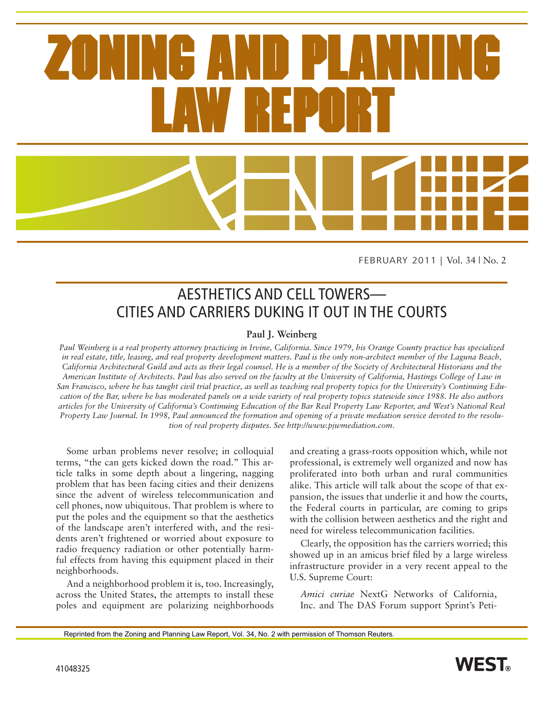FEBRUARY 2011 | Vol. 34 | No. 2

# AESTHETICS AND CELL TOWERS— CITIES AND CARRIERS DUKING IT OUT IN THE COURTS

#### **Paul J. Weinberg**

*Paul Weinberg is a real property attorney practicing in Irvine, California. Since 1979, his Orange County practice has specialized in real estate, title, leasing, and real property development matters. Paul is the only non-architect member of the Laguna Beach, California Architectural Guild and acts as their legal counsel. He is a member of the Society of Architectural Historians and the American Institute of Architects. Paul has also served on the faculty at the University of California, Hastings College of Law in San Francisco, where he has taught civil trial practice, as well as teaching real property topics for the University's Continuing Education of the Bar, where he has moderated panels on a wide variety of real property topics statewide since 1988. He also authors articles for the University of California's Continuing Education of the Bar Real Property Law Reporter, and West's National Real Property Law Journal. In 1998, Paul announced the formation and opening of a private mediation service devoted to the resolution of real property disputes. See http://www.pjwmediation.com.*

Some urban problems never resolve; in colloquial terms, "the can gets kicked down the road." This article talks in some depth about a lingering, nagging problem that has been facing cities and their denizens since the advent of wireless telecommunication and cell phones, now ubiquitous. That problem is where to put the poles and the equipment so that the aesthetics of the landscape aren't interfered with, and the residents aren't frightened or worried about exposure to radio frequency radiation or other potentially harmful effects from having this equipment placed in their neighborhoods.

And a neighborhood problem it is, too. Increasingly, across the United States, the attempts to install these poles and equipment are polarizing neighborhoods and creating a grass-roots opposition which, while not professional, is extremely well organized and now has proliferated into both urban and rural communities alike. This article will talk about the scope of that expansion, the issues that underlie it and how the courts, the Federal courts in particular, are coming to grips with the collision between aesthetics and the right and need for wireless telecommunication facilities.

Clearly, the opposition has the carriers worried; this showed up in an amicus brief filed by a large wireless infrastructure provider in a very recent appeal to the U.S. Supreme Court:

*Amici curiae* NextG Networks of California, Inc. and The DAS Forum support Sprint's Peti-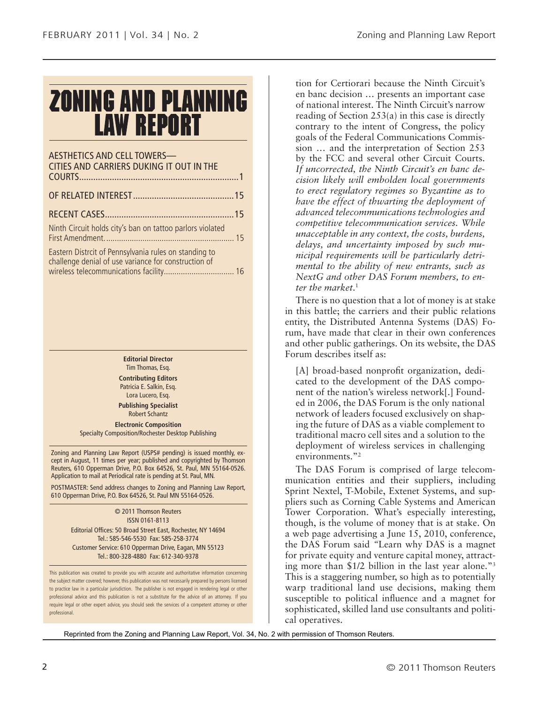# **ZONING AND PLANNING LAW REPORT**

| <b>AESTHETICS AND CELL TOWERS-</b><br>CITIES AND CARRIERS DUKING IT OUT IN THE |  |
|--------------------------------------------------------------------------------|--|
|                                                                                |  |
|                                                                                |  |
| Ninth Circuit holds city's ban on tattoo parlors violated                      |  |
| Eastern District of Pennsylvania rules on standing to                          |  |

tern Distrcit of Pennsylvania rules on standing to challenge denial of use variance for construction of wireless telecommunications facility................................. 16

> **Editorial Director** Tim Thomas, Esq.

**Contributing Editors** Patricia E. Salkin, Esq. Lora Lucero, Esq.

**Publishing Specialist** Robert Schantz

**Electronic Composition** Specialty Composition/Rochester Desktop Publishing

Zoning and Planning Law Report (USPS# pending) is issued monthly, except in August, 11 times per year; published and copyrighted by Thomson Reuters, 610 Opperman Drive, P.O. Box 64526, St. Paul, MN 55164-0526. Application to mail at Periodical rate is pending at St. Paul, MN.

POSTMASTER: Send address changes to Zoning and Planning Law Report, 610 Opperman Drive, P.O. Box 64526, St. Paul MN 55164-0526.

> © 2011 Thomson Reuters ISSN 0161-8113 Editorial Offices: 50 Broad Street East, Rochester, NY 14694 Tel.: 585-546-5530 Fax: 585-258-3774 Customer Service: 610 Opperman Drive, Eagan, MN 55123 Tel.: 800-328-4880 Fax: 612-340-9378

This publication was created to provide you with accurate and authoritative information concerning the subject matter covered; however, this publication was not necessarily prepared by persons licensed to practice law in a particular jurisdiction. The publisher is not engaged in rendering legal or other professional advice and this publication is not a substitute for the advice of an attorney. If you require legal or other expert advice, you should seek the services of a competent attorney or other professional.

tion for Certiorari because the Ninth Circuit's en banc decision … presents an important case of national interest. The Ninth Circuit's narrow reading of Section 253(a) in this case is directly contrary to the intent of Congress, the policy goals of the Federal Communications Commission … and the interpretation of Section 253 by the FCC and several other Circuit Courts. *If uncorrected, the Ninth Circuit's en banc decision likely will embolden local governments to erect regulatory regimes so Byzantine as to have the effect of thwarting the deployment of advanced telecommunications technologies and competitive telecommunication services. While unacceptable in any context, the costs, burdens, delays, and uncertainty imposed by such municipal requirements will be particularly detrimental to the ability of new entrants, such as NextG and other DAS Forum members, to enter the market*. 1

There is no question that a lot of money is at stake in this battle; the carriers and their public relations entity, the Distributed Antenna Systems (DAS) Forum, have made that clear in their own conferences and other public gatherings. On its website, the DAS Forum describes itself as:

[A] broad-based nonprofit organization, dedicated to the development of the DAS component of the nation's wireless network[.] Founded in 2006, the DAS Forum is the only national network of leaders focused exclusively on shaping the future of DAS as a viable complement to traditional macro cell sites and a solution to the deployment of wireless services in challenging environments."2

The DAS Forum is comprised of large telecommunication entities and their suppliers, including Sprint Nextel, T-Mobile, Extenet Systems, and suppliers such as Corning Cable Systems and American Tower Corporation. What's especially interesting, though, is the volume of money that is at stake. On a web page advertising a June 15, 2010, conference, the DAS Forum said *"*Learn why DAS is a magnet for private equity and venture capital money, attracting more than \$1/2 billion in the last year alone."3 This is a staggering number, so high as to potentially warp traditional land use decisions, making them susceptible to political influence and a magnet for sophisticated, skilled land use consultants and political operatives.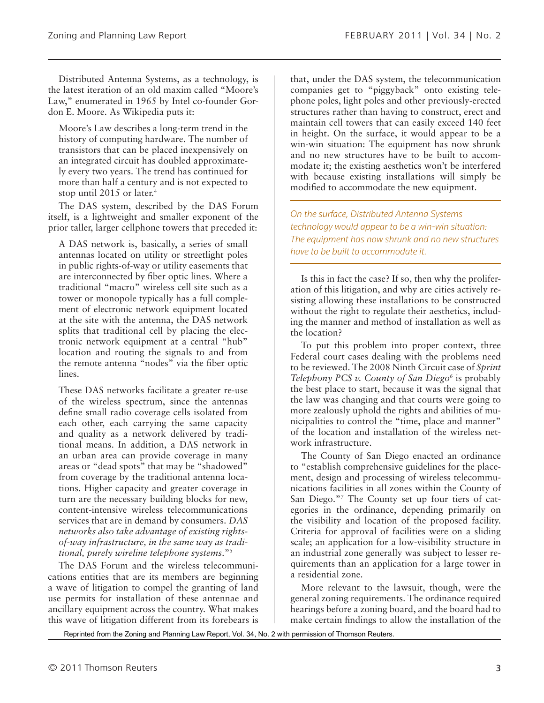Distributed Antenna Systems, as a technology, is the latest iteration of an old maxim called "Moore's Law," enumerated in 1965 by Intel co-founder Gordon E. Moore. As Wikipedia puts it:

Moore's Law describes a long-term trend in the history of computing hardware. The number of transistors that can be placed inexpensively on an integrated circuit has doubled approximately every two years. The trend has continued for more than half a century and is not expected to stop until 2015 or later.<sup>4</sup>

The DAS system, described by the DAS Forum itself, is a lightweight and smaller exponent of the prior taller, larger cellphone towers that preceded it:

A DAS network is, basically, a series of small antennas located on utility or streetlight poles in public rights-of-way or utility easements that are interconnected by fiber optic lines. Where a traditional "macro" wireless cell site such as a tower or monopole typically has a full complement of electronic network equipment located at the site with the antenna, the DAS network splits that traditional cell by placing the electronic network equipment at a central "hub" location and routing the signals to and from the remote antenna "nodes" via the fiber optic lines.

These DAS networks facilitate a greater re-use of the wireless spectrum, since the antennas define small radio coverage cells isolated from each other, each carrying the same capacity and quality as a network delivered by traditional means. In addition, a DAS network in an urban area can provide coverage in many areas or "dead spots" that may be "shadowed" from coverage by the traditional antenna locations. Higher capacity and greater coverage in turn are the necessary building blocks for new, content-intensive wireless telecommunications services that are in demand by consumers. *DAS networks also take advantage of existing rightsof-way infrastructure, in the same way as traditional, purely wireline telephone systems*."5

The DAS Forum and the wireless telecommunications entities that are its members are beginning a wave of litigation to compel the granting of land use permits for installation of these antennae and ancillary equipment across the country. What makes this wave of litigation different from its forebears is

that, under the DAS system, the telecommunication companies get to "piggyback" onto existing telephone poles, light poles and other previously-erected structures rather than having to construct, erect and maintain cell towers that can easily exceed 140 feet in height. On the surface, it would appear to be a win-win situation: The equipment has now shrunk and no new structures have to be built to accommodate it; the existing aesthetics won't be interfered with because existing installations will simply be modified to accommodate the new equipment.

*On the surface, Distributed Antenna Systems technology would appear to be a win-win situation: The equipment has now shrunk and no new structures have to be built to accommodate it.*

Is this in fact the case? If so, then why the proliferation of this litigation, and why are cities actively resisting allowing these installations to be constructed without the right to regulate their aesthetics, including the manner and method of installation as well as the location?

To put this problem into proper context, three Federal court cases dealing with the problems need to be reviewed. The 2008 Ninth Circuit case of *Sprint Telephony PCS v. County of San Diego6* is probably the best place to start, because it was the signal that the law was changing and that courts were going to more zealously uphold the rights and abilities of municipalities to control the "time, place and manner" of the location and installation of the wireless network infrastructure.

The County of San Diego enacted an ordinance to "establish comprehensive guidelines for the placement, design and processing of wireless telecommunications facilities in all zones within the County of San Diego."7 The County set up four tiers of categories in the ordinance, depending primarily on the visibility and location of the proposed facility. Criteria for approval of facilities were on a sliding scale; an application for a low-visibility structure in an industrial zone generally was subject to lesser requirements than an application for a large tower in a residential zone.

More relevant to the lawsuit, though, were the general zoning requirements. The ordinance required hearings before a zoning board, and the board had to make certain findings to allow the installation of the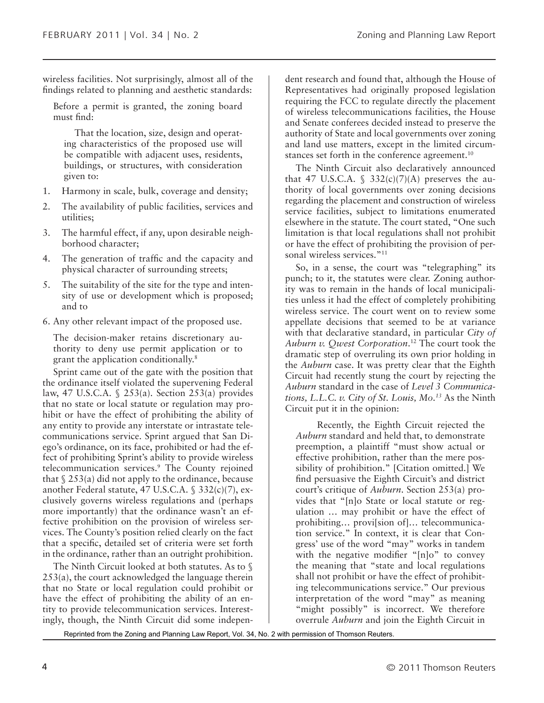wireless facilities. Not surprisingly, almost all of the findings related to planning and aesthetic standards:

Before a permit is granted, the zoning board must find:

That the location, size, design and operating characteristics of the proposed use will be compatible with adjacent uses, residents, buildings, or structures, with consideration given to:

- 1. Harmony in scale, bulk, coverage and density;
- 2. The availability of public facilities, services and utilities;
- 3. The harmful effect, if any, upon desirable neighborhood character;
- 4. The generation of traffic and the capacity and physical character of surrounding streets;
- 5. The suitability of the site for the type and intensity of use or development which is proposed; and to
- 6. Any other relevant impact of the proposed use.

The decision-maker retains discretionary authority to deny use permit application or to grant the application conditionally.8

Sprint came out of the gate with the position that the ordinance itself violated the supervening Federal law, 47 U.S.C.A. § 253(a). Section 253(a) provides that no state or local statute or regulation may prohibit or have the effect of prohibiting the ability of any entity to provide any interstate or intrastate telecommunications service. Sprint argued that San Diego's ordinance, on its face, prohibited or had the effect of prohibiting Sprint's ability to provide wireless telecommunication services.9 The County rejoined that  $\S 253(a)$  did not apply to the ordinance, because another Federal statute, 47 U.S.C.A. § 332(c)(7), exclusively governs wireless regulations and (perhaps more importantly) that the ordinance wasn't an effective prohibition on the provision of wireless services. The County's position relied clearly on the fact that a specific, detailed set of criteria were set forth in the ordinance, rather than an outright prohibition.

The Ninth Circuit looked at both statutes. As to § 253(a), the court acknowledged the language therein that no State or local regulation could prohibit or have the effect of prohibiting the ability of an entity to provide telecommunication services. Interestingly, though, the Ninth Circuit did some independent research and found that, although the House of Representatives had originally proposed legislation requiring the FCC to regulate directly the placement of wireless telecommunications facilities, the House and Senate conferees decided instead to preserve the authority of State and local governments over zoning and land use matters, except in the limited circumstances set forth in the conference agreement.<sup>10</sup>

The Ninth Circuit also declaratively announced that 47 U.S.C.A.  $\S$  332(c)(7)(A) preserves the authority of local governments over zoning decisions regarding the placement and construction of wireless service facilities, subject to limitations enumerated elsewhere in the statute. The court stated, "One such limitation is that local regulations shall not prohibit or have the effect of prohibiting the provision of personal wireless services."<sup>11</sup>

So, in a sense, the court was "telegraphing" its punch; to it, the statutes were clear. Zoning authority was to remain in the hands of local municipalities unless it had the effect of completely prohibiting wireless service. The court went on to review some appellate decisions that seemed to be at variance with that declarative standard, in particular *City of Auburn v. Qwest Corporation*. 12 The court took the dramatic step of overruling its own prior holding in the *Auburn* case. It was pretty clear that the Eighth Circuit had recently stung the court by rejecting the *Auburn* standard in the case of *Level 3 Communications, L.L.C. v. City of St. Louis, Mo.13* As the Ninth Circuit put it in the opinion:

Recently, the Eighth Circuit rejected the *Auburn* standard and held that, to demonstrate preemption, a plaintiff "must show actual or effective prohibition, rather than the mere possibility of prohibition." [Citation omitted.] We find persuasive the Eighth Circuit's and district court's critique of *Auburn*. Section 253(a) provides that "[n]o State or local statute or regulation … may prohibit or have the effect of prohibiting… provi[sion of]… telecommunication service." In context, it is clear that Congress' use of the word "may" works in tandem with the negative modifier "[n]o" to convey the meaning that "state and local regulations shall not prohibit or have the effect of prohibiting telecommunications service." Our previous interpretation of the word "may" as meaning "might possibly" is incorrect. We therefore overrule *Auburn* and join the Eighth Circuit in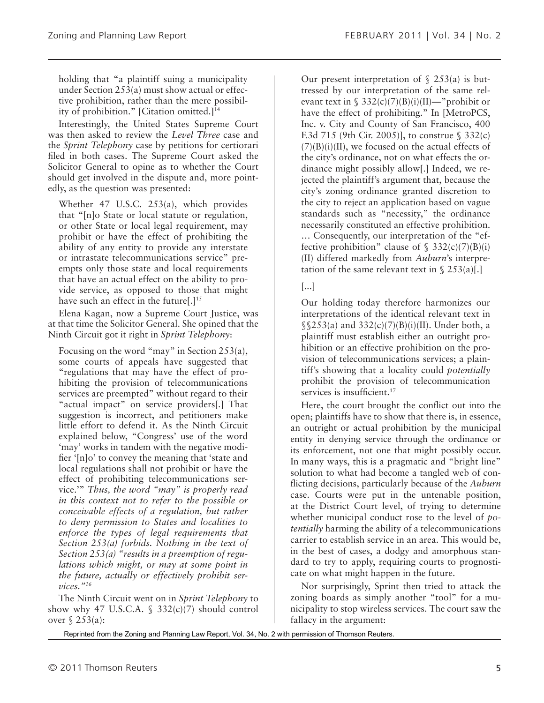holding that "a plaintiff suing a municipality under Section 253(a) must show actual or effective prohibition, rather than the mere possibility of prohibition." [Citation omitted.]<sup>14</sup>

Interestingly, the United States Supreme Court was then asked to review the *Level Three* case and the *Sprint Telephony* case by petitions for certiorari filed in both cases. The Supreme Court asked the Solicitor General to opine as to whether the Court should get involved in the dispute and, more pointedly, as the question was presented:

Whether 47 U.S.C. 253(a), which provides that "[n]o State or local statute or regulation, or other State or local legal requirement, may prohibit or have the effect of prohibiting the ability of any entity to provide any interstate or intrastate telecommunications service" preempts only those state and local requirements that have an actual effect on the ability to provide service, as opposed to those that might have such an effect in the future[.]<sup>15</sup>

Elena Kagan, now a Supreme Court Justice, was at that time the Solicitor General. She opined that the Ninth Circuit got it right in *Sprint Telephony*:

Focusing on the word "may" in Section 253(a), some courts of appeals have suggested that "regulations that may have the effect of prohibiting the provision of telecommunications services are preempted" without regard to their "actual impact" on service providers[.] That suggestion is incorrect, and petitioners make little effort to defend it. As the Ninth Circuit explained below, "Congress' use of the word 'may' works in tandem with the negative modifier '[n]o' to convey the meaning that 'state and local regulations shall not prohibit or have the effect of prohibiting telecommunications service.'" *Thus, the word "may" is properly read in this context not to refer to the possible or conceivable effects of a regulation, but rather to deny permission to States and localities to enforce the types of legal requirements that Section 253(a) forbids. Nothing in the text of Section 253(a) "results in a preemption of regulations which might, or may at some point in the future, actually or effectively prohibit services."16*

The Ninth Circuit went on in *Sprint Telephony* to show why 47 U.S.C.A.  $\frac{2}{3}$  332(c)(7) should control over § 253(a):

Our present interpretation of  $\S$  253(a) is buttressed by our interpretation of the same relevant text in §  $332(c)(7)(B)(i)(II)$ —"prohibit or have the effect of prohibiting." In [MetroPCS, Inc. v. City and County of San Francisco, 400 F.3d 715 (9th Cir. 2005)], to construe § 332(c)  $(7)(B)(i)(II)$ , we focused on the actual effects of the city's ordinance, not on what effects the ordinance might possibly allow[.] Indeed, we rejected the plaintiff's argument that, because the city's zoning ordinance granted discretion to the city to reject an application based on vague standards such as "necessity," the ordinance necessarily constituted an effective prohibition. … Consequently, our interpretation of the "effective prohibition" clause of  $\S$  332(c)(7)(B)(i) (II) differed markedly from *Auburn*'s interpretation of the same relevant text in  $\S 253(a)$ .

#### [...]

Our holding today therefore harmonizes our interpretations of the identical relevant text in  $\S$  $253(a)$  and  $332(c)(7)(B)(i)(II)$ . Under both, a plaintiff must establish either an outright prohibition or an effective prohibition on the provision of telecommunications services; a plaintiff's showing that a locality could *potentially* prohibit the provision of telecommunication services is insufficient.<sup>17</sup>

Here, the court brought the conflict out into the open; plaintiffs have to show that there is, in essence, an outright or actual prohibition by the municipal entity in denying service through the ordinance or its enforcement, not one that might possibly occur. In many ways, this is a pragmatic and "bright line" solution to what had become a tangled web of conflicting decisions, particularly because of the *Auburn* case. Courts were put in the untenable position, at the District Court level, of trying to determine whether municipal conduct rose to the level of *potentially* harming the ability of a telecommunications carrier to establish service in an area. This would be, in the best of cases, a dodgy and amorphous standard to try to apply, requiring courts to prognosticate on what might happen in the future.

Nor surprisingly, Sprint then tried to attack the zoning boards as simply another "tool" for a municipality to stop wireless services. The court saw the fallacy in the argument: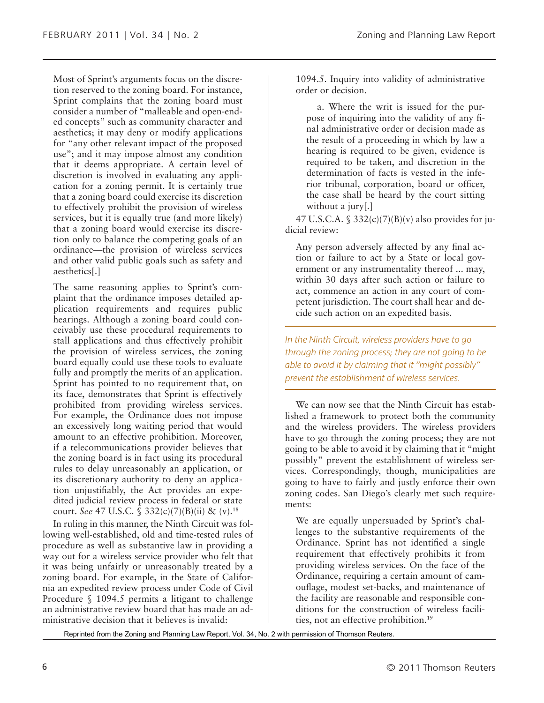Most of Sprint's arguments focus on the discretion reserved to the zoning board. For instance, Sprint complains that the zoning board must consider a number of "malleable and open-ended concepts" such as community character and aesthetics; it may deny or modify applications for "any other relevant impact of the proposed use"; and it may impose almost any condition that it deems appropriate. A certain level of discretion is involved in evaluating any application for a zoning permit. It is certainly true that a zoning board could exercise its discretion to effectively prohibit the provision of wireless services, but it is equally true (and more likely) that a zoning board would exercise its discretion only to balance the competing goals of an ordinance—the provision of wireless services and other valid public goals such as safety and aesthetics[.]

The same reasoning applies to Sprint's complaint that the ordinance imposes detailed application requirements and requires public hearings. Although a zoning board could conceivably use these procedural requirements to stall applications and thus effectively prohibit the provision of wireless services, the zoning board equally could use these tools to evaluate fully and promptly the merits of an application. Sprint has pointed to no requirement that, on its face, demonstrates that Sprint is effectively prohibited from providing wireless services. For example, the Ordinance does not impose an excessively long waiting period that would amount to an effective prohibition. Moreover, if a telecommunications provider believes that the zoning board is in fact using its procedural rules to delay unreasonably an application, or its discretionary authority to deny an application unjustifiably, the Act provides an expedited judicial review process in federal or state court. *See* 47 U.S.C. § 332(c)(7)(B)(ii) & (v).18

In ruling in this manner, the Ninth Circuit was following well-established, old and time-tested rules of procedure as well as substantive law in providing a way out for a wireless service provider who felt that it was being unfairly or unreasonably treated by a zoning board. For example, in the State of California an expedited review process under Code of Civil Procedure § 1094.5 permits a litigant to challenge an administrative review board that has made an administrative decision that it believes is invalid:

1094.5. Inquiry into validity of administrative order or decision.

a. Where the writ is issued for the purpose of inquiring into the validity of any final administrative order or decision made as the result of a proceeding in which by law a hearing is required to be given, evidence is required to be taken, and discretion in the determination of facts is vested in the inferior tribunal, corporation, board or officer, the case shall be heard by the court sitting without a jury[.]

47 U.S.C.A.  $\frac{2332(c)}{7}$ (B)(v) also provides for judicial review:

Any person adversely affected by any final action or failure to act by a State or local government or any instrumentality thereof ... may, within 30 days after such action or failure to act, commence an action in any court of competent jurisdiction. The court shall hear and decide such action on an expedited basis.

*In the Ninth Circuit, wireless providers have to go through the zoning process; they are not going to be able to avoid it by claiming that it "might possibly" prevent the establishment of wireless services.*

We can now see that the Ninth Circuit has established a framework to protect both the community and the wireless providers. The wireless providers have to go through the zoning process; they are not going to be able to avoid it by claiming that it "might possibly" prevent the establishment of wireless services. Correspondingly, though, municipalities are going to have to fairly and justly enforce their own zoning codes. San Diego's clearly met such requirements:

We are equally unpersuaded by Sprint's challenges to the substantive requirements of the Ordinance. Sprint has not identified a single requirement that effectively prohibits it from providing wireless services. On the face of the Ordinance, requiring a certain amount of camouflage, modest set-backs, and maintenance of the facility are reasonable and responsible conditions for the construction of wireless facilities, not an effective prohibition.19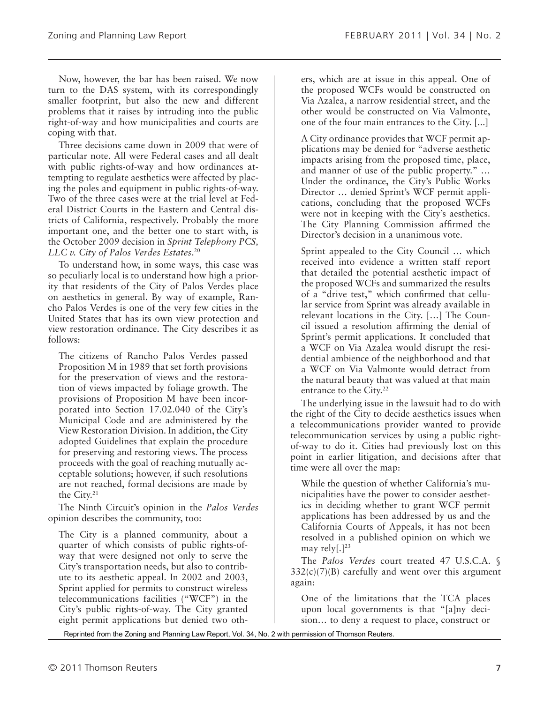Now, however, the bar has been raised. We now turn to the DAS system, with its correspondingly smaller footprint, but also the new and different problems that it raises by intruding into the public right-of-way and how municipalities and courts are coping with that.

Three decisions came down in 2009 that were of particular note. All were Federal cases and all dealt with public rights-of-way and how ordinances attempting to regulate aesthetics were affected by placing the poles and equipment in public rights-of-way. Two of the three cases were at the trial level at Federal District Courts in the Eastern and Central districts of California, respectively. Probably the more important one, and the better one to start with, is the October 2009 decision in *Sprint Telephony PCS, LLC v. City of Palos Verdes Estates*. 20

To understand how, in some ways, this case was so peculiarly local is to understand how high a priority that residents of the City of Palos Verdes place on aesthetics in general. By way of example, Rancho Palos Verdes is one of the very few cities in the United States that has its own view protection and view restoration ordinance. The City describes it as follows:

The citizens of Rancho Palos Verdes passed Proposition M in 1989 that set forth provisions for the preservation of views and the restoration of views impacted by foliage growth. The provisions of Proposition M have been incorporated into Section 17.02.040 of the City's Municipal Code and are administered by the View Restoration Division. In addition, the City adopted Guidelines that explain the procedure for preserving and restoring views. The process proceeds with the goal of reaching mutually acceptable solutions; however, if such resolutions are not reached, formal decisions are made by the City.21

The Ninth Circuit's opinion in the *Palos Verdes* opinion describes the community, too:

The City is a planned community, about a quarter of which consists of public rights-ofway that were designed not only to serve the City's transportation needs, but also to contribute to its aesthetic appeal. In 2002 and 2003, Sprint applied for permits to construct wireless telecommunications facilities ("WCF") in the City's public rights-of-way. The City granted eight permit applications but denied two others, which are at issue in this appeal. One of the proposed WCFs would be constructed on Via Azalea, a narrow residential street, and the other would be constructed on Via Valmonte, one of the four main entrances to the City. [...]

A City ordinance provides that WCF permit applications may be denied for "adverse aesthetic impacts arising from the proposed time, place, and manner of use of the public property." … Under the ordinance, the City's Public Works Director … denied Sprint's WCF permit applications, concluding that the proposed WCFs were not in keeping with the City's aesthetics. The City Planning Commission affirmed the Director's decision in a unanimous vote.

Sprint appealed to the City Council … which received into evidence a written staff report that detailed the potential aesthetic impact of the proposed WCFs and summarized the results of a "drive test," which confirmed that cellular service from Sprint was already available in relevant locations in the City. […] The Council issued a resolution affirming the denial of Sprint's permit applications. It concluded that a WCF on Via Azalea would disrupt the residential ambience of the neighborhood and that a WCF on Via Valmonte would detract from the natural beauty that was valued at that main entrance to the City.<sup>22</sup>

The underlying issue in the lawsuit had to do with the right of the City to decide aesthetics issues when a telecommunications provider wanted to provide telecommunication services by using a public rightof-way to do it. Cities had previously lost on this point in earlier litigation, and decisions after that time were all over the map:

While the question of whether California's municipalities have the power to consider aesthetics in deciding whether to grant WCF permit applications has been addressed by us and the California Courts of Appeals, it has not been resolved in a published opinion on which we may rely $[.]^{23}$ 

The *Palos Verdes* court treated 47 U.S.C.A. §  $332(c)(7)(B)$  carefully and went over this argument again:

One of the limitations that the TCA places upon local governments is that "[a]ny decision… to deny a request to place, construct or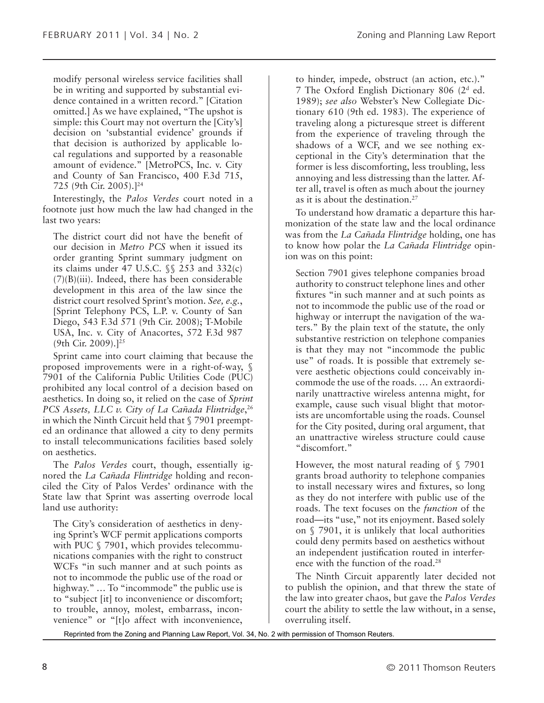modify personal wireless service facilities shall be in writing and supported by substantial evidence contained in a written record." [Citation omitted.] As we have explained, "The upshot is simple: this Court may not overturn the [City's] decision on 'substantial evidence' grounds if that decision is authorized by applicable local regulations and supported by a reasonable amount of evidence." [MetroPCS, Inc. v. City and County of San Francisco, 400 F.3d 715, 725 (9th Cir. 2005).]24

Interestingly, the *Palos Verdes* court noted in a footnote just how much the law had changed in the last two years:

The district court did not have the benefit of our decision in *Metro PCS* when it issued its order granting Sprint summary judgment on its claims under 47 U.S.C. §§ 253 and 332(c) (7)(B)(iii). Indeed, there has been considerable development in this area of the law since the district court resolved Sprint's motion. *See, e.g.*, [Sprint Telephony PCS, L.P. v. County of San Diego, 543 F.3d 571 (9th Cir. 2008); T-Mobile USA, Inc. v. City of Anacortes, 572 F.3d 987 (9th Cir. 2009).]25

Sprint came into court claiming that because the proposed improvements were in a right-of-way, § 7901 of the California Public Utilities Code (PUC) prohibited any local control of a decision based on aesthetics. In doing so, it relied on the case of *Sprint PCS Assets, LLC v. City of La Cañada Flintridge*, 26 in which the Ninth Circuit held that § 7901 preempted an ordinance that allowed a city to deny permits to install telecommunications facilities based solely on aesthetics.

The *Palos Verdes* court, though, essentially ignored the *La Cañada Flintridge* holding and reconciled the City of Palos Verdes' ordinance with the State law that Sprint was asserting overrode local land use authority:

The City's consideration of aesthetics in denying Sprint's WCF permit applications comports with PUC  $\S$  7901, which provides telecommunications companies with the right to construct WCFs "in such manner and at such points as not to incommode the public use of the road or highway." ... To "incommode" the public use is to "subject [it] to inconvenience or discomfort; to trouble, annoy, molest, embarrass, inconvenience" or "[t]o affect with inconvenience,

to hinder, impede, obstruct (an action, etc.)." 7 The Oxford English Dictionary 806 (2d ed. 1989); *see also* Webster's New Collegiate Dictionary 610 (9th ed. 1983). The experience of traveling along a picturesque street is different from the experience of traveling through the shadows of a WCF, and we see nothing exceptional in the City's determination that the former is less discomforting, less troubling, less annoying and less distressing than the latter. After all, travel is often as much about the journey as it is about the destination.27

To understand how dramatic a departure this harmonization of the state law and the local ordinance was from the *La Cañada Flintridge* holding, one has to know how polar the *La Cañada Flintridge* opinion was on this point:

Section 7901 gives telephone companies broad authority to construct telephone lines and other fixtures "in such manner and at such points as not to incommode the public use of the road or highway or interrupt the navigation of the waters." By the plain text of the statute, the only substantive restriction on telephone companies is that they may not "incommode the public use" of roads. It is possible that extremely severe aesthetic objections could conceivably incommode the use of the roads. … An extraordinarily unattractive wireless antenna might, for example, cause such visual blight that motorists are uncomfortable using the roads. Counsel for the City posited, during oral argument, that an unattractive wireless structure could cause "discomfort."

However, the most natural reading of § 7901 grants broad authority to telephone companies to install necessary wires and fixtures, so long as they do not interfere with public use of the roads. The text focuses on the *function* of the road—its "use," not its enjoyment. Based solely on § 7901, it is unlikely that local authorities could deny permits based on aesthetics without an independent justification routed in interference with the function of the road.<sup>28</sup>

The Ninth Circuit apparently later decided not to publish the opinion, and that threw the state of the law into greater chaos, but gave the *Palos Verdes* court the ability to settle the law without, in a sense, overruling itself.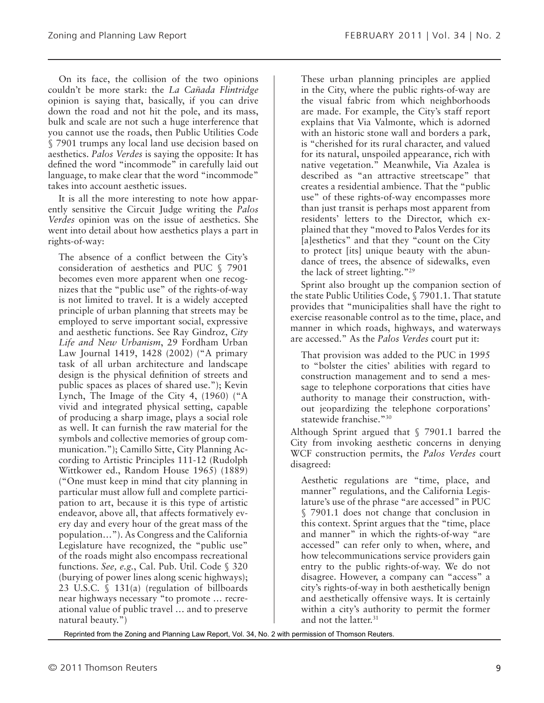On its face, the collision of the two opinions couldn't be more stark: the *La Cañada Flintridge* opinion is saying that, basically, if you can drive down the road and not hit the pole, and its mass, bulk and scale are not such a huge interference that you cannot use the roads, then Public Utilities Code § 7901 trumps any local land use decision based on aesthetics. *Palos Verdes* is saying the opposite: It has defined the word "incommode" in carefully laid out language, to make clear that the word "incommode" takes into account aesthetic issues.

It is all the more interesting to note how apparently sensitive the Circuit Judge writing the *Palos Verdes* opinion was on the issue of aesthetics. She went into detail about how aesthetics plays a part in rights-of-way:

The absence of a conflict between the City's consideration of aesthetics and PUC § 7901 becomes even more apparent when one recognizes that the "public use" of the rights-of-way is not limited to travel. It is a widely accepted principle of urban planning that streets may be employed to serve important social, expressive and aesthetic functions. See Ray Gindroz, *City Life and New Urbanism*, 29 Fordham Urban Law Journal 1419, 1428 (2002) ("A primary task of all urban architecture and landscape design is the physical definition of streets and public spaces as places of shared use."); Kevin Lynch, The Image of the City 4, (1960) ("A vivid and integrated physical setting, capable of producing a sharp image, plays a social role as well. It can furnish the raw material for the symbols and collective memories of group communication."); Camillo Sitte, City Planning According to Artistic Principles 111-12 (Rudolph Wittkower ed., Random House 1965) (1889) ("One must keep in mind that city planning in particular must allow full and complete participation to art, because it is this type of artistic endeavor, above all, that affects formatively every day and every hour of the great mass of the population…"). As Congress and the California Legislature have recognized, the "public use" of the roads might also encompass recreational functions. *See, e.g.*, Cal. Pub. Util. Code § 320 (burying of power lines along scenic highways); 23 U.S.C. § 131(a) (regulation of billboards near highways necessary "to promote … recreational value of public travel … and to preserve natural beauty.")

These urban planning principles are applied in the City, where the public rights-of-way are the visual fabric from which neighborhoods are made. For example, the City's staff report explains that Via Valmonte, which is adorned with an historic stone wall and borders a park, is "cherished for its rural character, and valued for its natural, unspoiled appearance, rich with native vegetation." Meanwhile, Via Azalea is described as "an attractive streetscape" that creates a residential ambience. That the "public use" of these rights-of-way encompasses more than just transit is perhaps most apparent from residents' letters to the Director, which explained that they "moved to Palos Verdes for its [a]esthetics" and that they "count on the City to protect [its] unique beauty with the abundance of trees, the absence of sidewalks, even the lack of street lighting."29

Sprint also brought up the companion section of the state Public Utilities Code, § 7901.1. That statute provides that "municipalities shall have the right to exercise reasonable control as to the time, place, and manner in which roads, highways, and waterways are accessed." As the *Palos Verdes* court put it:

That provision was added to the PUC in 1995 to "bolster the cities' abilities with regard to construction management and to send a message to telephone corporations that cities have authority to manage their construction, without jeopardizing the telephone corporations' statewide franchise."30

Although Sprint argued that § 7901.1 barred the City from invoking aesthetic concerns in denying WCF construction permits, the *Palos Verdes* court disagreed:

Aesthetic regulations are "time, place, and manner" regulations, and the California Legislature's use of the phrase "are accessed" in PUC § 7901.1 does not change that conclusion in this context. Sprint argues that the "time, place and manner" in which the rights-of-way "are accessed" can refer only to when, where, and how telecommunications service providers gain entry to the public rights-of-way. We do not disagree. However, a company can "access" a city's rights-of-way in both aesthetically benign and aesthetically offensive ways. It is certainly within a city's authority to permit the former and not the latter.<sup>31</sup>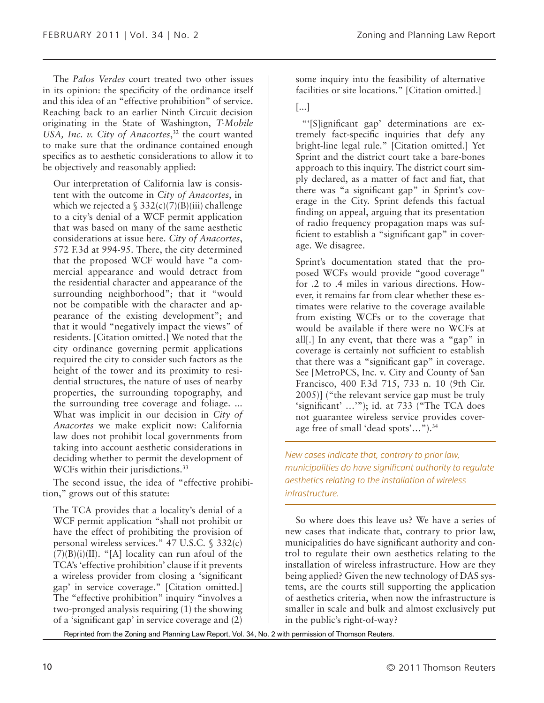The *Palos Verdes* court treated two other issues in its opinion: the specificity of the ordinance itself and this idea of an "effective prohibition" of service. Reaching back to an earlier Ninth Circuit decision originating in the State of Washington, *T-Mobile USA, Inc. v. City of Anacortes*, 32 the court wanted to make sure that the ordinance contained enough specifics as to aesthetic considerations to allow it to be objectively and reasonably applied:

Our interpretation of California law is consistent with the outcome in *City of Anacortes*, in which we rejected a  $\frac{2332(c)}{7)}$ (B)(iii) challenge to a city's denial of a WCF permit application that was based on many of the same aesthetic considerations at issue here. *City of Anacortes*, 572 F.3d at 994-95. There, the city determined that the proposed WCF would have "a commercial appearance and would detract from the residential character and appearance of the surrounding neighborhood"; that it "would not be compatible with the character and appearance of the existing development"; and that it would "negatively impact the views" of residents. [Citation omitted.] We noted that the city ordinance governing permit applications required the city to consider such factors as the height of the tower and its proximity to residential structures, the nature of uses of nearby properties, the surrounding topography, and the surrounding tree coverage and foliage. ... What was implicit in our decision in *City of Anacortes* we make explicit now: California law does not prohibit local governments from taking into account aesthetic considerations in deciding whether to permit the development of WCFs within their jurisdictions.<sup>33</sup>

The second issue, the idea of "effective prohibition," grows out of this statute:

The TCA provides that a locality's denial of a WCF permit application "shall not prohibit or have the effect of prohibiting the provision of personal wireless services." 47 U.S.C. § 332(c)  $(7)(B)(i)(II)$ . "[A] locality can run afoul of the TCA's 'effective prohibition' clause if it prevents a wireless provider from closing a 'significant gap' in service coverage." [Citation omitted.] The "effective prohibition" inquiry "involves a two-pronged analysis requiring (1) the showing of a 'significant gap' in service coverage and (2)

some inquiry into the feasibility of alternative facilities or site locations." [Citation omitted.]

[...]

 "'[S]ignificant gap' determinations are extremely fact-specific inquiries that defy any bright-line legal rule." [Citation omitted.] Yet Sprint and the district court take a bare-bones approach to this inquiry. The district court simply declared, as a matter of fact and fiat, that there was "a significant gap" in Sprint's coverage in the City. Sprint defends this factual finding on appeal, arguing that its presentation of radio frequency propagation maps was sufficient to establish a "significant gap" in coverage. We disagree.

Sprint's documentation stated that the proposed WCFs would provide "good coverage" for .2 to .4 miles in various directions. However, it remains far from clear whether these estimates were relative to the coverage available from existing WCFs or to the coverage that would be available if there were no WCFs at all[.] In any event, that there was a "gap" in coverage is certainly not sufficient to establish that there was a "significant gap" in coverage. See [MetroPCS, Inc. v. City and County of San Francisco, 400 F.3d 715, 733 n. 10 (9th Cir. 2005)] ("the relevant service gap must be truly 'significant' …'"); id. at 733 ("The TCA does not guarantee wireless service provides coverage free of small 'dead spots'…").34

*New cases indicate that, contrary to prior law, municipalities do have significant authority to regulate aesthetics relating to the installation of wireless infrastructure.*

So where does this leave us? We have a series of new cases that indicate that, contrary to prior law, municipalities do have significant authority and control to regulate their own aesthetics relating to the installation of wireless infrastructure. How are they being applied? Given the new technology of DAS systems, are the courts still supporting the application of aesthetics criteria, when now the infrastructure is smaller in scale and bulk and almost exclusively put in the public's right-of-way?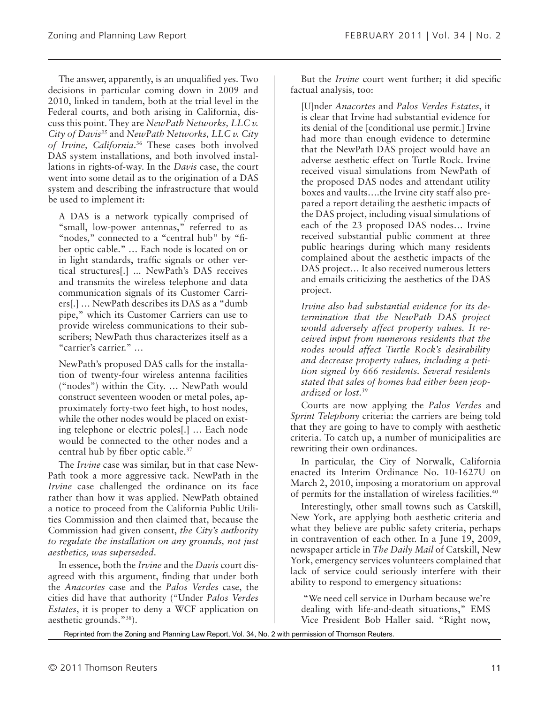The answer, apparently, is an unqualified yes. Two decisions in particular coming down in 2009 and 2010, linked in tandem, both at the trial level in the Federal courts, and both arising in California, discuss this point. They are *NewPath Networks, LLC v. City of Davis35* and *NewPath Networks, LLC v. City of Irvine, California*. 36 These cases both involved DAS system installations, and both involved installations in rights-of-way. In the *Davis* case, the court went into some detail as to the origination of a DAS system and describing the infrastructure that would be used to implement it:

A DAS is a network typically comprised of "small, low-power antennas," referred to as "nodes," connected to a "central hub" by "fiber optic cable." … Each node is located on or in light standards, traffic signals or other vertical structures[.] ... NewPath's DAS receives and transmits the wireless telephone and data communication signals of its Customer Carriers[.] … NewPath describes its DAS as a "dumb pipe," which its Customer Carriers can use to provide wireless communications to their subscribers; NewPath thus characterizes itself as a "carrier's carrier." …

NewPath's proposed DAS calls for the installation of twenty-four wireless antenna facilities ("nodes") within the City. … NewPath would construct seventeen wooden or metal poles, approximately forty-two feet high, to host nodes, while the other nodes would be placed on existing telephone or electric poles[.] … Each node would be connected to the other nodes and a central hub by fiber optic cable.37

The *Irvine* case was similar, but in that case New-Path took a more aggressive tack. NewPath in the *Irvine* case challenged the ordinance on its face rather than how it was applied. NewPath obtained a notice to proceed from the California Public Utilities Commission and then claimed that, because the Commission had given consent, *the City's authority to regulate the installation on any grounds, not just aesthetics, was superseded*.

In essence, both the *Irvine* and the *Davis* court disagreed with this argument, finding that under both the *Anacortes* case and the *Palos Verdes* case, the cities did have that authority ("Under *Palos Verdes Estates*, it is proper to deny a WCF application on aesthetic grounds."38).

But the *Irvine* court went further; it did specific factual analysis, too:

[U]nder *Anacortes* and *Palos Verdes Estates*, it is clear that Irvine had substantial evidence for its denial of the [conditional use permit.] Irvine had more than enough evidence to determine that the NewPath DAS project would have an adverse aesthetic effect on Turtle Rock. Irvine received visual simulations from NewPath of the proposed DAS nodes and attendant utility boxes and vaults….the Irvine city staff also prepared a report detailing the aesthetic impacts of the DAS project, including visual simulations of each of the 23 proposed DAS nodes… Irvine received substantial public comment at three public hearings during which many residents complained about the aesthetic impacts of the DAS project… It also received numerous letters and emails criticizing the aesthetics of the DAS project.

*Irvine also had substantial evidence for its determination that the NewPath DAS project would adversely affect property values. It received input from numerous residents that the nodes would affect Turtle Rock's desirability and decrease property values, including a petition signed by 666 residents. Several residents stated that sales of homes had either been jeopardized or lost.39*

Courts are now applying the *Palos Verdes* and *Sprint Telephony* criteria: the carriers are being told that they are going to have to comply with aesthetic criteria. To catch up, a number of municipalities are rewriting their own ordinances.

In particular, the City of Norwalk, California enacted its Interim Ordinance No. 10-1627U on March 2, 2010, imposing a moratorium on approval of permits for the installation of wireless facilities.40

Interestingly, other small towns such as Catskill, New York, are applying both aesthetic criteria and what they believe are public safety criteria, perhaps in contravention of each other. In a June 19, 2009, newspaper article in *The Daily Mail* of Catskill, New York, emergency services volunteers complained that lack of service could seriously interfere with their ability to respond to emergency situations:

 "We need cell service in Durham because we're dealing with life-and-death situations," EMS Vice President Bob Haller said. "Right now,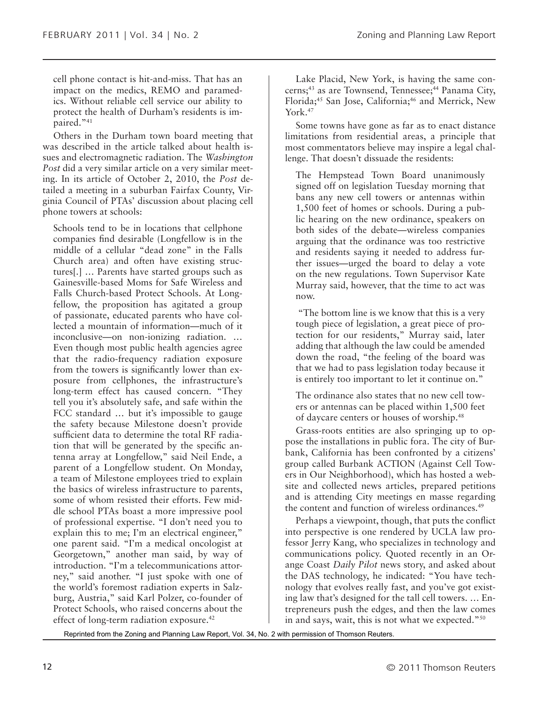cell phone contact is hit-and-miss. That has an impact on the medics, REMO and paramedics. Without reliable cell service our ability to protect the health of Durham's residents is impaired."<sup>41</sup>

Others in the Durham town board meeting that was described in the article talked about health issues and electromagnetic radiation. The *Washington Post* did a very similar article on a very similar meeting. In its article of October 2, 2010, the *Post* detailed a meeting in a suburban Fairfax County, Virginia Council of PTAs' discussion about placing cell phone towers at schools:

Schools tend to be in locations that cellphone companies find desirable (Longfellow is in the middle of a cellular "dead zone" in the Falls Church area) and often have existing structures[.] … Parents have started groups such as Gainesville-based Moms for Safe Wireless and Falls Church-based Protect Schools. At Longfellow, the proposition has agitated a group of passionate, educated parents who have collected a mountain of information—much of it inconclusive—on non-ionizing radiation. … Even though most public health agencies agree that the radio-frequency radiation exposure from the towers is significantly lower than exposure from cellphones, the infrastructure's long-term effect has caused concern. "They tell you it's absolutely safe, and safe within the FCC standard … but it's impossible to gauge the safety because Milestone doesn't provide sufficient data to determine the total RF radiation that will be generated by the specific antenna array at Longfellow," said Neil Ende, a parent of a Longfellow student. On Monday, a team of Milestone employees tried to explain the basics of wireless infrastructure to parents, some of whom resisted their efforts. Few middle school PTAs boast a more impressive pool of professional expertise. "I don't need you to explain this to me; I'm an electrical engineer," one parent said. "I'm a medical oncologist at Georgetown," another man said, by way of introduction. "I'm a telecommunications attorney," said another. "I just spoke with one of the world's foremost radiation experts in Salzburg, Austria," said Karl Polzer, co-founder of Protect Schools, who raised concerns about the effect of long-term radiation exposure.42

Lake Placid, New York, is having the same concerns;<sup>43</sup> as are Townsend, Tennessee;<sup>44</sup> Panama City, Florida;<sup>45</sup> San Jose, California;<sup>46</sup> and Merrick, New York.<sup>47</sup>

Some towns have gone as far as to enact distance limitations from residential areas, a principle that most commentators believe may inspire a legal challenge. That doesn't dissuade the residents:

The Hempstead Town Board unanimously signed off on legislation Tuesday morning that bans any new cell towers or antennas within 1,500 feet of homes or schools. During a public hearing on the new ordinance, speakers on both sides of the debate—wireless companies arguing that the ordinance was too restrictive and residents saying it needed to address further issues—urged the board to delay a vote on the new regulations. Town Supervisor Kate Murray said, however, that the time to act was now.

 "The bottom line is we know that this is a very tough piece of legislation, a great piece of protection for our residents," Murray said, later adding that although the law could be amended down the road, "the feeling of the board was that we had to pass legislation today because it is entirely too important to let it continue on."

The ordinance also states that no new cell towers or antennas can be placed within 1,500 feet of daycare centers or houses of worship.48

Grass-roots entities are also springing up to oppose the installations in public fora. The city of Burbank, California has been confronted by a citizens' group called Burbank ACTION (Against Cell Towers in Our Neighborhood), which has hosted a website and collected news articles, prepared petitions and is attending City meetings en masse regarding the content and function of wireless ordinances.<sup>49</sup>

Perhaps a viewpoint, though, that puts the conflict into perspective is one rendered by UCLA law professor Jerry Kang, who specializes in technology and communications policy. Quoted recently in an Orange Coast *Daily Pilot* news story, and asked about the DAS technology, he indicated: "You have technology that evolves really fast, and you've got existing law that's designed for the tall cell towers. … Entrepreneurs push the edges, and then the law comes in and says, wait, this is not what we expected."50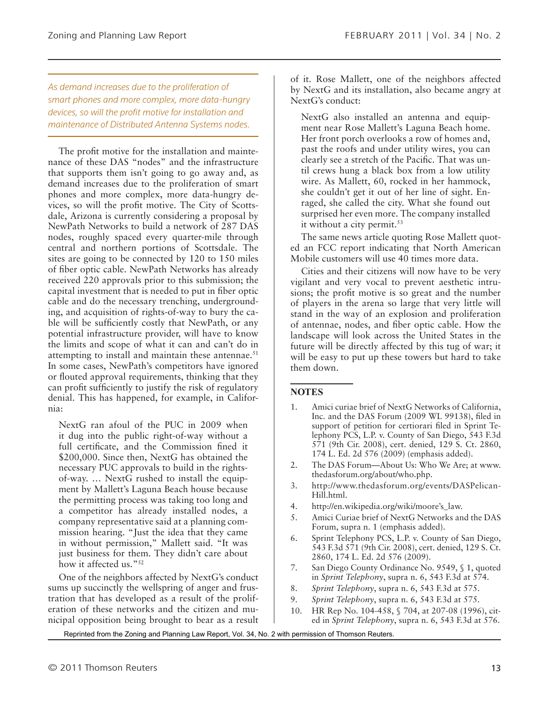*As demand increases due to the proliferation of smart phones and more complex, more data-hungry devices, so will the profit motive for installation and maintenance of Distributed Antenna Systems nodes.*

The profit motive for the installation and maintenance of these DAS "nodes" and the infrastructure that supports them isn't going to go away and, as demand increases due to the proliferation of smart phones and more complex, more data-hungry devices, so will the profit motive. The City of Scottsdale, Arizona is currently considering a proposal by NewPath Networks to build a network of 287 DAS nodes, roughly spaced every quarter-mile through central and northern portions of Scottsdale. The sites are going to be connected by 120 to 150 miles of fiber optic cable. NewPath Networks has already received 220 approvals prior to this submission; the capital investment that is needed to put in fiber optic cable and do the necessary trenching, undergrounding, and acquisition of rights-of-way to bury the cable will be sufficiently costly that NewPath, or any potential infrastructure provider, will have to know the limits and scope of what it can and can't do in attempting to install and maintain these antennae.<sup>51</sup> In some cases, NewPath's competitors have ignored or flouted approval requirements, thinking that they can profit sufficiently to justify the risk of regulatory denial. This has happened, for example, in California:

NextG ran afoul of the PUC in 2009 when it dug into the public right-of-way without a full certificate, and the Commission fined it \$200,000. Since then, NextG has obtained the necessary PUC approvals to build in the rightsof-way. … NextG rushed to install the equipment by Mallett's Laguna Beach house because the permitting process was taking too long and a competitor has already installed nodes, a company representative said at a planning commission hearing. "Just the idea that they came in without permission," Mallett said. "It was just business for them. They didn't care about how it affected us."<sup>52</sup>

One of the neighbors affected by NextG's conduct sums up succinctly the wellspring of anger and frustration that has developed as a result of the proliferation of these networks and the citizen and municipal opposition being brought to bear as a result

of it. Rose Mallett, one of the neighbors affected by NextG and its installation, also became angry at NextG's conduct:

NextG also installed an antenna and equipment near Rose Mallett's Laguna Beach home. Her front porch overlooks a row of homes and, past the roofs and under utility wires, you can clearly see a stretch of the Pacific. That was until crews hung a black box from a low utility wire. As Mallett, 60, rocked in her hammock, she couldn't get it out of her line of sight. Enraged, she called the city. What she found out surprised her even more. The company installed it without a city permit.<sup>53</sup>

The same news article quoting Rose Mallett quoted an FCC report indicating that North American Mobile customers will use 40 times more data.

Cities and their citizens will now have to be very vigilant and very vocal to prevent aesthetic intrusions; the profit motive is so great and the number of players in the arena so large that very little will stand in the way of an explosion and proliferation of antennae, nodes, and fiber optic cable. How the landscape will look across the United States in the future will be directly affected by this tug of war; it will be easy to put up these towers but hard to take them down.

#### **Notes**

- 1. Amici curiae brief of NextG Networks of California, Inc. and the DAS Forum (2009 WL 99138), filed in support of petition for certiorari filed in Sprint Telephony PCS, L.P. v. County of San Diego, 543 F.3d 571 (9th Cir. 2008), cert. denied, 129 S. Ct. 2860, 174 L. Ed. 2d 576 (2009) (emphasis added).
- 2. The DAS Forum—About Us: Who We Are; at www. thedasforum.org/about/who.php.
- 3. http://www.thedasforum.org/events/DASPelican-Hill.html.
- 4. http://en.wikipedia.org/wiki/moore's\_law.
- 5. Amici Curiae brief of NextG Networks and the DAS Forum, supra n. 1 (emphasis added).
- 6. Sprint Telephony PCS, L.P. v. County of San Diego, 543 F.3d 571 (9th Cir. 2008), cert. denied, 129 S. Ct. 2860, 174 L. Ed. 2d 576 (2009).
- 7. San Diego County Ordinance No. 9549, § 1, quoted in *Sprint Telephony*, supra n. 6, 543 F.3d at 574.
- 8. *Sprint Telephony*, supra n. 6, 543 F.3d at 575.
- 9. *Sprint Telephony*, supra n. 6, 543 F.3d at 575.
- 10. HR Rep No. 104-458, § 704, at 207-08 (1996), cited in *Sprint Telephony*, supra n. 6, 543 F.3d at 576.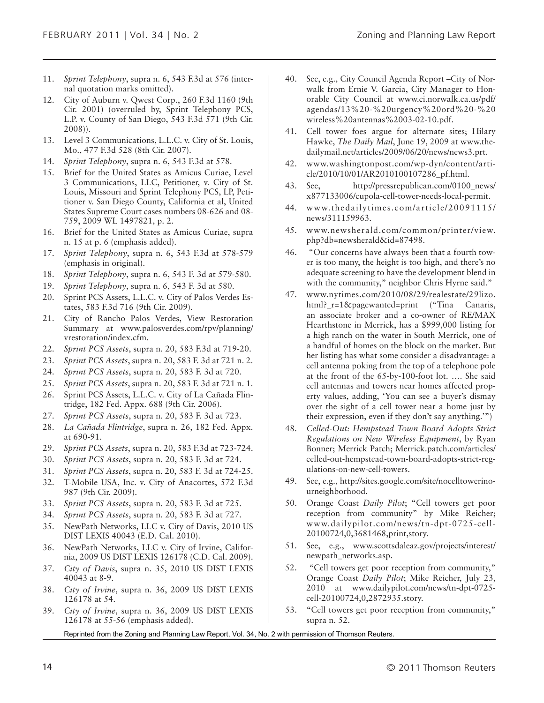- 11. *Sprint Telephony*, supra n. 6, 543 F.3d at 576 (internal quotation marks omitted).
- 12. City of Auburn v. Qwest Corp., 260 F.3d 1160 (9th Cir. 2001) (overruled by, Sprint Telephony PCS, L.P. v. County of San Diego, 543 F.3d 571 (9th Cir. 2008)).
- 13. Level 3 Communications, L.L.C. v. City of St. Louis, Mo., 477 F.3d 528 (8th Cir. 2007).
- 14. *Sprint Telephony*, supra n. 6, 543 F.3d at 578.
- 15. Brief for the United States as Amicus Curiae, Level 3 Communications, LLC, Petitioner, v. City of St. Louis, Missouri and Sprint Telephony PCS, LP, Petitioner v. San Diego County, California et al, United States Supreme Court cases numbers 08-626 and 08- 759, 2009 WL 1497821, p. 2.
- 16. Brief for the United States as Amicus Curiae, supra n. 15 at p. 6 (emphasis added).
- 17. *Sprint Telephony*, supra n. 6, 543 F.3d at 578-579 (emphasis in original).
- 18. *Sprint Telephony*, supra n. 6, 543 F. 3d at 579-580.
- 19. *Sprint Telephony*, supra n. 6, 543 F. 3d at 580.
- 20. Sprint PCS Assets, L.L.C. v. City of Palos Verdes Estates, 583 F.3d 716 (9th Cir. 2009).
- 21. City of Rancho Palos Verdes, View Restoration Summary at www.palosverdes.com/rpv/planning/ vrestoration/index.cfm.
- 22. *Sprint PCS Assets*, supra n. 20, 583 F.3d at 719-20.
- 23. *Sprint PCS Assets*, supra n. 20, 583 F. 3d at 721 n. 2.
- 24. *Sprint PCS Assets*, supra n. 20, 583 F. 3d at 720.
- 25. *Sprint PCS Assets*, supra n. 20, 583 F. 3d at 721 n. 1.
- 26. Sprint PCS Assets, L.L.C. v. City of La Cañada Flintridge, 182 Fed. Appx. 688 (9th Cir. 2006).
- 27. *Sprint PCS Assets*, supra n. 20, 583 F. 3d at 723.
- 28. *La Cañada Flintridge*, supra n. 26, 182 Fed. Appx. at 690-91.
- 29. *Sprint PCS Assets*, supra n. 20, 583 F.3d at 723-724.
- 30. *Sprint PCS Assets*, supra n. 20, 583 F. 3d at 724.
- 31. *Sprint PCS Assets*, supra n. 20, 583 F. 3d at 724-25.
- 32. T-Mobile USA, Inc. v. City of Anacortes, 572 F.3d 987 (9th Cir. 2009).
- 33. *Sprint PCS Assets*, supra n. 20, 583 F. 3d at 725.
- 34. *Sprint PCS Assets*, supra n. 20, 583 F. 3d at 727.
- 35. NewPath Networks, LLC v. City of Davis, 2010 US DIST LEXIS 40043 (E.D. Cal. 2010).
- 36. NewPath Networks, LLC v. City of Irvine, California, 2009 US DIST LEXIS 126178 (C.D. Cal. 2009).
- 37. *City of Davis*, supra n. 35, 2010 US DIST LEXIS 40043 at 8-9.
- 38. *City of Irvine*, supra n. 36, 2009 US DIST LEXIS 126178 at 54.
- 39. *City of Irvine*, supra n. 36, 2009 US DIST LEXIS 126178 at 55-56 (emphasis added).
- 40. See, e.g., City Council Agenda Report –City of Norwalk from Ernie V. Garcia, City Manager to Honorable City Council at www.ci.norwalk.ca.us/pdf/ agendas/13%20-%20urgency%20ord%20-%20 wireless%20antennas%2003-02-10.pdf.
- 41. Cell tower foes argue for alternate sites; Hilary Hawke, *The Daily Mail*, June 19, 2009 at www.thedailymail.net/articles/2009/06/20/news/news3.prt.
- 42. www.washingtonpost.com/wp-dyn/content/article/2010/10/01/AR2010100107286\_pf.html.
- 43. See, http://pressrepublican.com/0100\_news/ x877133006/cupola-cell-tower-needs-local-permit.
- 44. www.thedailytimes.com/article/20091115/ news/311159963.
- 45. www.newsherald.com/common/printer/view. php?db=newsherald&id=87498.
- 46. "Our concerns have always been that a fourth tower is too many, the height is too high, and there's no adequate screening to have the development blend in with the community," neighbor Chris Hyrne said."
- 47. www.nytimes.com/2010/08/29/realestate/29lizo. html?\_r=1&pagewanted=print ("Tina Canaris, an associate broker and a co-owner of RE/MAX Hearthstone in Merrick, has a \$999,000 listing for a high ranch on the water in South Merrick, one of a handful of homes on the block on the market. But her listing has what some consider a disadvantage: a cell antenna poking from the top of a telephone pole at the front of the 65-by-100-foot lot. …. She said cell antennas and towers near homes affected property values, adding, 'You can see a buyer's dismay over the sight of a cell tower near a home just by their expression, even if they don't say anything.'")
- 48. *Celled-Out: Hempstead Town Board Adopts Strict Regulations on New Wireless Equipment*, by Ryan Bonner; Merrick Patch; Merrick.patch.com/articles/ celled-out-hempstead-town-board-adopts-strict-regulations-on-new-cell-towers.
- 49. See, e.g., http://sites.google.com/site/nocelltowerinourneighborhood.
- 50. Orange Coast *Daily Pilot*; "Cell towers get poor reception from community" by Mike Reicher; www.dailypilot.com/news/tn-dpt-0725-cell-20100724,0,3681468,print,story.
- 51. See, e.g., www.scottsdaleaz.gov/projects/interest/ newpath\_networks.asp.
- 52. "Cell towers get poor reception from community," Orange Coast *Daily Pilot*; Mike Reicher, July 23, 2010 at www.dailypilot.com/news/tn-dpt-0725 cell-20100724,0,2872935.story.
- 53. "Cell towers get poor reception from community," supra n. 52.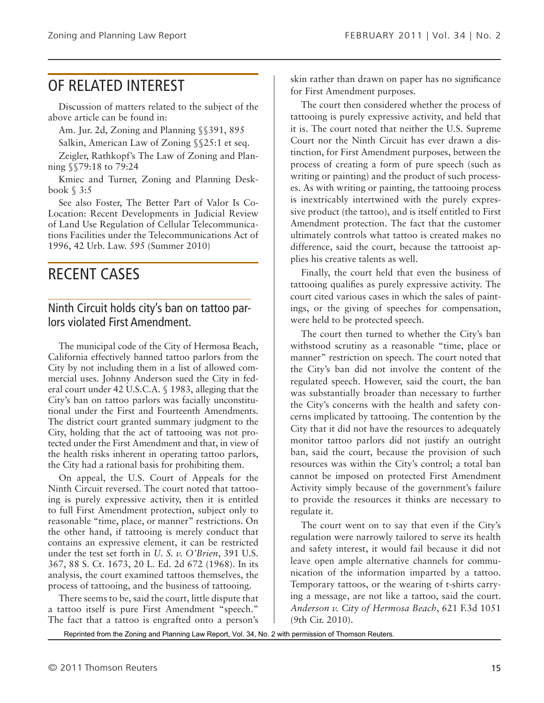# OF RELATED INTEREST

Discussion of matters related to the subject of the above article can be found in:

Am. Jur. 2d, Zoning and Planning §§391, 895

Salkin, American Law of Zoning §§25:1 et seq.

Zeigler, Rathkopf's The Law of Zoning and Planning §§79:18 to 79:24

Kmiec and Turner, Zoning and Planning Deskbook § 3:5

See also Foster, The Better Part of Valor Is Co-Location: Recent Developments in Judicial Review of Land Use Regulation of Cellular Telecommunications Facilities under the Telecommunications Act of 1996, 42 Urb. Law. 595 (Summer 2010)

## RECENT CASES

### Ninth Circuit holds city's ban on tattoo parlors violated First Amendment.

The municipal code of the City of Hermosa Beach, California effectively banned tattoo parlors from the City by not including them in a list of allowed commercial uses. Johnny Anderson sued the City in federal court under 42 U.S.C.A. § 1983, alleging that the City's ban on tattoo parlors was facially unconstitutional under the First and Fourteenth Amendments. The district court granted summary judgment to the City, holding that the act of tattooing was not protected under the First Amendment and that, in view of the health risks inherent in operating tattoo parlors, the City had a rational basis for prohibiting them.

On appeal, the U.S. Court of Appeals for the Ninth Circuit reversed. The court noted that tattooing is purely expressive activity, then it is entitled to full First Amendment protection, subject only to reasonable "time, place, or manner" restrictions. On the other hand, if tattooing is merely conduct that contains an expressive element, it can be restricted under the test set forth in *U. S. v. O'Brien*, 391 U.S. 367, 88 S. Ct. 1673, 20 L. Ed. 2d 672 (1968). In its analysis, the court examined tattoos themselves, the process of tattooing, and the business of tattooing.

There seems to be, said the court, little dispute that a tattoo itself is pure First Amendment "speech." The fact that a tattoo is engrafted onto a person's

skin rather than drawn on paper has no significance for First Amendment purposes.

The court then considered whether the process of tattooing is purely expressive activity, and held that it is. The court noted that neither the U.S. Supreme Court nor the Ninth Circuit has ever drawn a distinction, for First Amendment purposes, between the process of creating a form of pure speech (such as writing or painting) and the product of such processes. As with writing or painting, the tattooing process is inextricably intertwined with the purely expressive product (the tattoo), and is itself entitled to First Amendment protection. The fact that the customer ultimately controls what tattoo is created makes no difference, said the court, because the tattooist applies his creative talents as well.

Finally, the court held that even the business of tattooing qualifies as purely expressive activity. The court cited various cases in which the sales of paintings, or the giving of speeches for compensation, were held to be protected speech.

The court then turned to whether the City's ban withstood scrutiny as a reasonable "time, place or manner" restriction on speech. The court noted that the City's ban did not involve the content of the regulated speech. However, said the court, the ban was substantially broader than necessary to further the City's concerns with the health and safety concerns implicated by tattooing. The contention by the City that it did not have the resources to adequately monitor tattoo parlors did not justify an outright ban, said the court, because the provision of such resources was within the City's control; a total ban cannot be imposed on protected First Amendment Activity simply because of the government's failure to provide the resources it thinks are necessary to regulate it.

The court went on to say that even if the City's regulation were narrowly tailored to serve its health and safety interest, it would fail because it did not leave open ample alternative channels for communication of the information imparted by a tattoo. Temporary tattoos, or the wearing of t-shirts carrying a message, are not like a tattoo, said the court. *Anderson v. City of Hermosa Beach*, 621 F.3d 1051 (9th Cir. 2010).